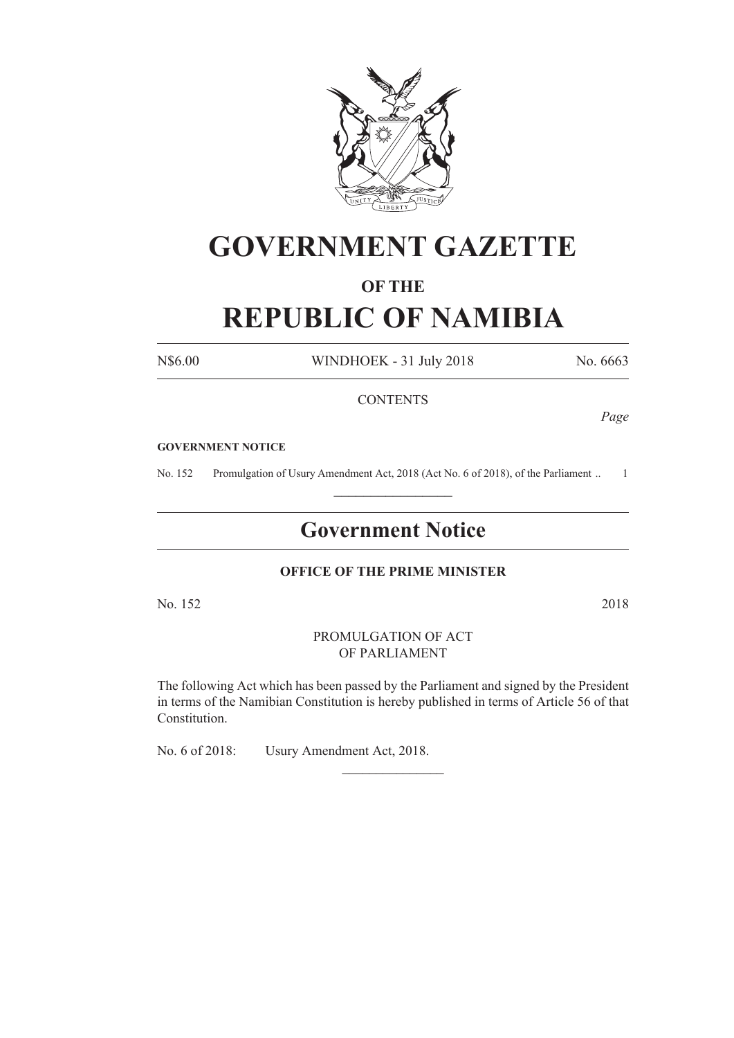

# **GOVERNMENT GAZETTE**

## **OF THE**

# **REPUBLIC OF NAMIBIA**

N\$6.00 WINDHOEK - 31 July 2018 No. 6663

### **CONTENTS**

*Page*

#### **GOVERNMENT NOTICE**

No. 152 Promulgation of Usury Amendment Act, 2018 (Act No. 6 of 2018), of the Parliament .. 1  $\frac{1}{2}$  ,  $\frac{1}{2}$  ,  $\frac{1}{2}$  ,  $\frac{1}{2}$  ,  $\frac{1}{2}$  ,  $\frac{1}{2}$  ,  $\frac{1}{2}$ 

# **Government Notice**

### **OFFICE OF THE PRIME MINISTER**

No. 152 2018

#### PROMULGATION OF ACT OF PARLIAMENT

The following Act which has been passed by the Parliament and signed by the President in terms of the Namibian Constitution is hereby published in terms of Article 56 of that Constitution.

 $\frac{1}{2}$ 

No. 6 of 2018: Usury Amendment Act, 2018.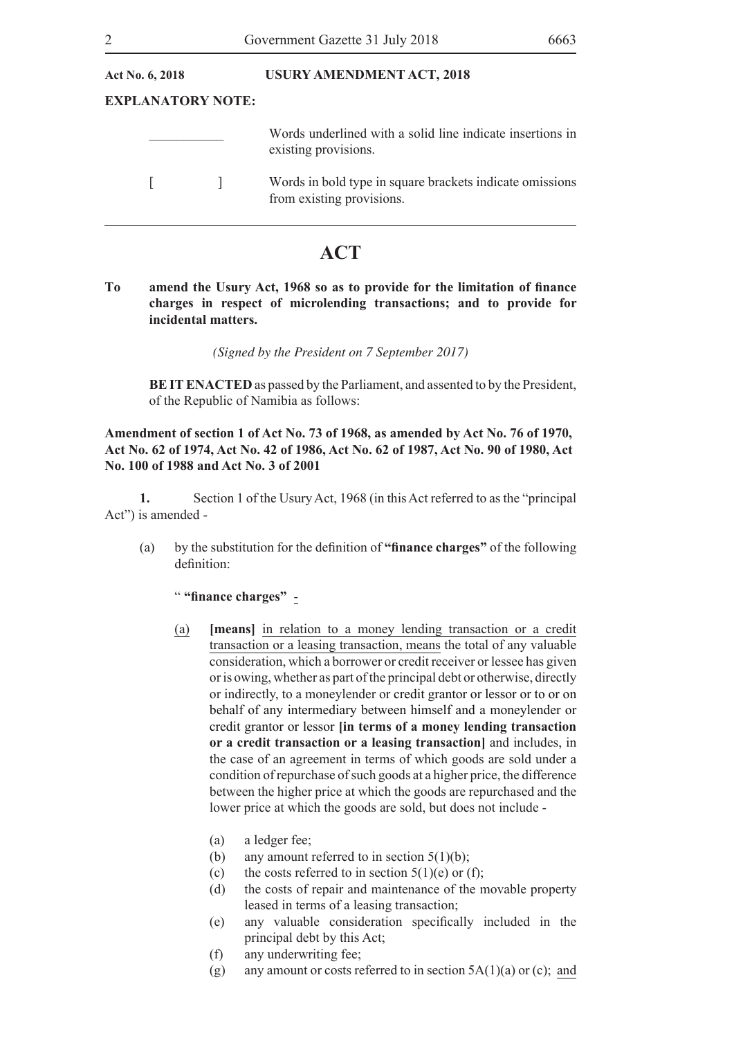| <b>USURY AMENDMENT ACT, 2018</b>                                                      |
|---------------------------------------------------------------------------------------|
| <b>EXPLANATORY NOTE:</b>                                                              |
| Words underlined with a solid line indicate insertions in<br>existing provisions.     |
| Words in bold type in square brackets indicate omissions<br>from existing provisions. |
|                                                                                       |

## **ACT**

**To amend the Usury Act, 1968 so as to provide for the limitation of finance charges in respect of microlending transactions; and to provide for incidental matters.**

*(Signed by the President on 7 September 2017)*

**BE IT ENACTED** as passed by the Parliament, and assented to by the President, of the Republic of Namibia as follows:

### **Amendment of section 1 of Act No. 73 of 1968, as amended by Act No. 76 of 1970, Act No. 62 of 1974, Act No. 42 of 1986, Act No. 62 of 1987, Act No. 90 of 1980, Act No. 100 of 1988 and Act No. 3 of 2001**

**1.** Section 1 of the Usury Act, 1968 (in this Act referred to as the "principal Act") is amended -

(a) by the substitution for the definition of **"finance charges"** of the following definition:

### " **"finance charges"** -

- (a) **[means]** in relation to a money lending transaction or a credit transaction or a leasing transaction, means the total of any valuable consideration, which a borrower or credit receiver or lessee has given or is owing, whether as part of the principal debt or otherwise, directly or indirectly, to a moneylender or credit grantor or lessor or to or on behalf of any intermediary between himself and a moneylender or credit grantor or lessor **[in terms of a money lending transaction or a credit transaction or a leasing transaction]** and includes, in the case of an agreement in terms of which goods are sold under a condition of repurchase of such goods at a higher price, the difference between the higher price at which the goods are repurchased and the lower price at which the goods are sold, but does not include -
	- (a) a ledger fee;
	- (b) any amount referred to in section  $5(1)(b)$ ;
	- (c) the costs referred to in section  $5(1)(e)$  or (f);
	- (d) the costs of repair and maintenance of the movable property leased in terms of a leasing transaction;
	- (e) any valuable consideration specifically included in the principal debt by this Act;
	- (f) any underwriting fee;
	- (g) any amount or costs referred to in section  $5A(1)(a)$  or (c); and